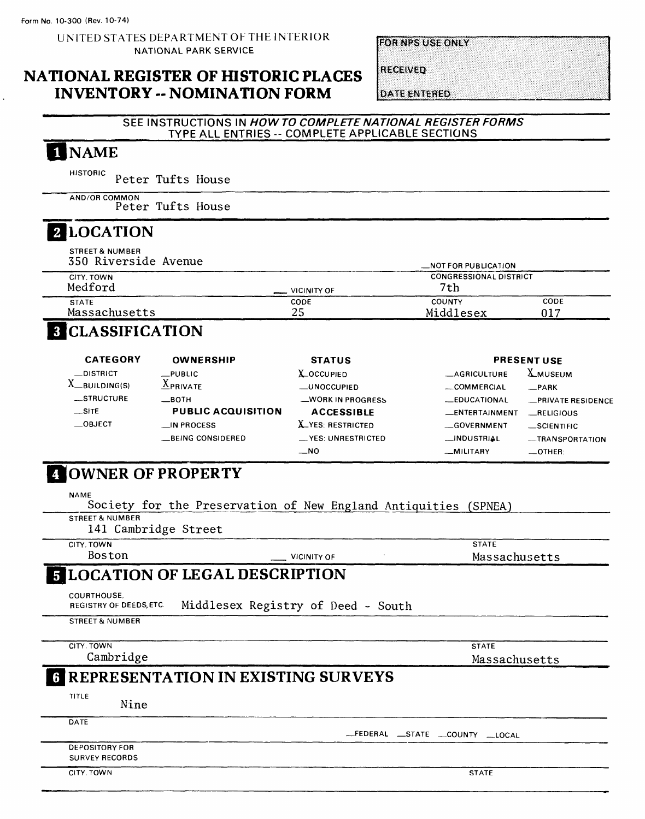UNITED STATES DEPARTMENT OF THE INTERIOR NATIONAL PARK SERVICE

**FOR NPS USE ONLY** 

#### **NATIONAL REGISTER OF HISTORIC PLACES INVENTORY -- NOMINATION FORM**

RECEIVED

**DATE ENTERED** 

#### SEE INSTRUCTIONS IN HOW TO COMPLETE NATIONAL REGISTER FORMS TYPE ALL ENTRIES -- COMPLETE APPLICABLE SECTIONS

# 1 NAME

**HISTORIC** Peter Tufts House

**AND/OR COMMON** Peter Tufts House

#### **LOCATION**

**STREET& NUMBER** 350 Riverside Avenue **\_NOT FOR PUBLICATION**

|               |             | $-11011011001100100011011$    |      |  |
|---------------|-------------|-------------------------------|------|--|
| CITY, TOWN    |             | <b>CONGRESSIONAL DISTRICT</b> |      |  |
| Medford       | VICINITY OF | 7th                           |      |  |
| <b>STATE</b>  | CODE        | <b>COUNTY</b>                 | CODE |  |
| Massachusetts | つに<br>د ،   | Middlesex                     | 017  |  |

# **B** CLASSIFICATION

| <b>CATEGORY</b>   | <b>OWNERSHIP</b>          | <b>STATUS</b>            |                       | <b>PRESENT USE</b> |
|-------------------|---------------------------|--------------------------|-----------------------|--------------------|
| $\equiv$ DISTRICT | $_{\rm \_$ <i>PUBLIC</i>  | X_OCCUPIED               | <b>_AGRICULTURE</b>   | <b>X_MUSEUM</b>    |
| BUILDING(S)       | v<br>$\triangle$ PRIVATE  | <b>LUNOCCUPIFD</b>       | COMMERCIAL            | $-$ PARK           |
| __STRUCTURE       | $\equiv$ BOTH             | <b>WORK IN PROGRESS</b>  | <b>_EDUCATIONAL</b>   | -PRIVATE RESIDENCE |
| $\equiv$ SITE     | <b>PUBLIC ACQUISITION</b> | <b>ACCESSIBLE</b>        | <b>LENTERTAINMENT</b> | RELIGIOUS          |
| $\equiv$ OBJECT   | $\Box$ IN PROCESS         | <b>X_YES: RESTRICTED</b> | <b>COVERNMENT</b>     | _SCIENTIFIC        |
|                   | <b>LBEING CONSIDERED</b>  | __ YES: UNRESTRICTED     | <b>__INDUSTRIAL</b>   | -TRANSPORTATION    |
|                   |                           | $\equiv$ NO              | <b>MILITARY</b>       | $\equiv$ OTHER:    |

## *A* OWNER OF PROPERTY

NAME

Society for the Preservation of New England Antiquities (SPNEA)

STREET & NUMBER

141 Cambridge Street

CITY. TOWN

Boston <u>Jean Vicinity</u> of

**STATE**

Massachusetts

## **LOCATION OF LEGAL DESCRIPTION**

COURTHOUSE,

Middlesex Registry of Deed - South REGISTRY OF DEEDS,ETC

STREET & NUMBER

CITY, TOWN Cambridge STATE Massachusetts

## **REPRESENTATION IN EXISTING SURVEYS**

TITLE

Nine

**DATE** 

DEPOSITORY FOR SURVEY RECORDS

CITY, TOWN STATE

—FEDERAL —STATE —COUNTY \_LOCAL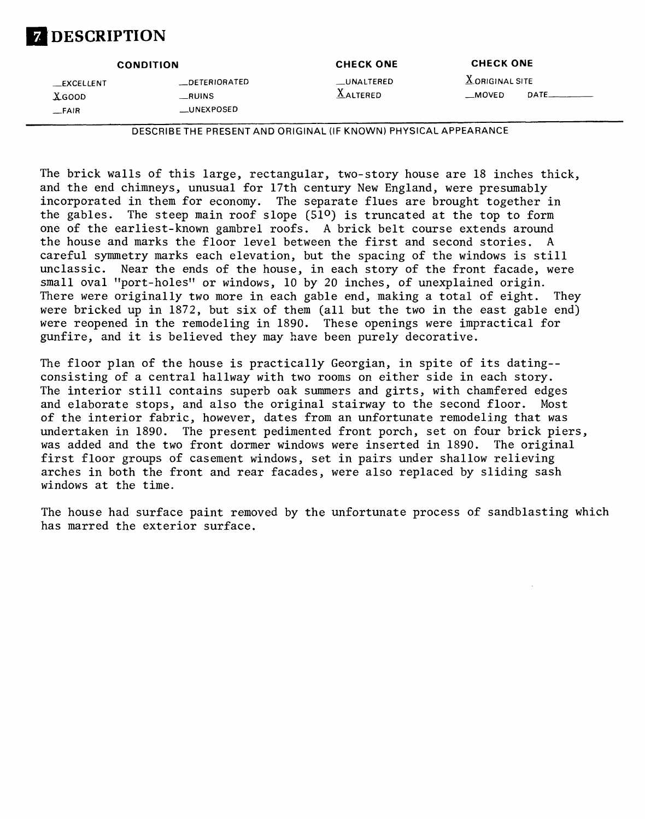# **DESCRIPTION**

|               | <b>CONDITION</b> | <b>CHECK ONE</b> | <b>CHECK ONE</b>  |       |
|---------------|------------------|------------------|-------------------|-------|
| __EXCELLENT   | __DETERIORATED   | __UNALTERED      | $X$ ORIGINAL SITE |       |
| <b>X</b> GOOD | __RUINS          | <b>AALTERED</b>  | $\equiv$ MOVED    | DATE. |
| _FAIR         | __UNEXPOSED      |                  |                   |       |

DESCRIBETHE PRESENT AND ORIGINAL (IF KNOWN) PHYSICAL APPEARANCE

The brick walls of this large, rectangular, two-story house are 18 inches thick, and the end chimneys, unusual for 17th century New England, were presumably incorporated in them for economy. The separate flues are brought together in the gables. The steep main roof slope  $(51^{\circ})$  is truncated at the top to form one of the earliest-known gambrel roofs. A brick belt course extends around the house and marks the floor level between the first and second stories. A careful symmetry marks each elevation, but the spacing of the windows is still unclassic. Near the ends of the house, in each story of the front facade, were small oval "port-holes" or windows, 10 by 20 inches, of unexplained origin. There were originally two more in each gable end, making a total of eight. They were bricked up in 1872, but six of them (all but the two in the east gable end) were reopened in the remodeling in 1890. These openings were impractical for gunfire, and it is believed they may have been purely decorative.

The floor plan of the house is practically Georgian, in spite of its dating- consisting of a central hallway with two rooms on either side in each story. The interior still contains superb oak summers and girts, with chamfered edges and elaborate stops, and also the original stairway to the second floor. Most of the interior fabric, however, dates from an unfortunate remodeling that was undertaken in 1890. The present pedimented front porch, set on four brick piers, was added and the two front dormer windows were inserted in 1890. The original first floor groups of casement windows, set in pairs under shallow relieving arches in both the front and rear facades, were also replaced by sliding sash windows at the time.

The house had surface paint removed by the unfortunate process of sandblasting which has marred the exterior surface.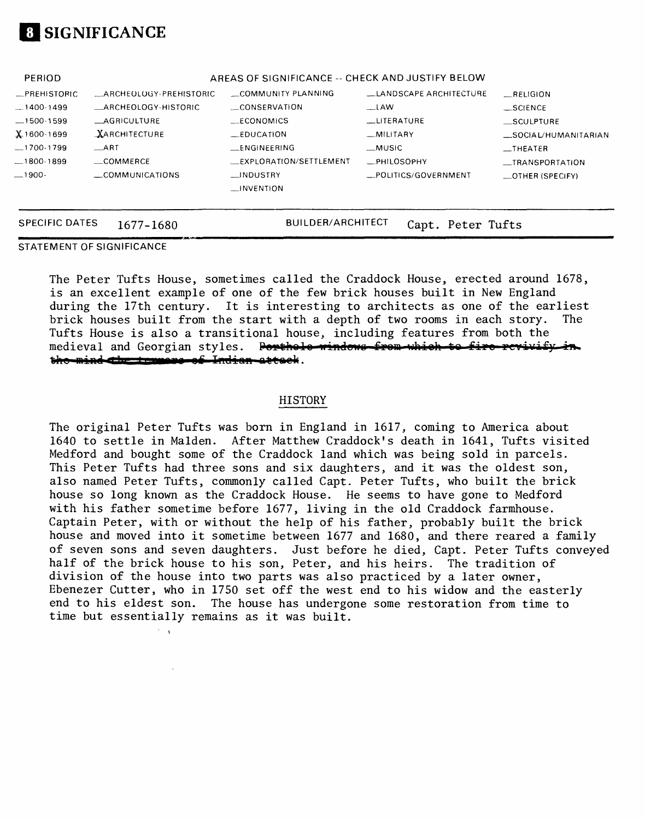# **SIGNIFICANCE**

| <b>SPECIFIC DATES</b>          | 1677–1680              | <b>BUILDER/ARCHITECT</b>                         | Capt. Peter Tufts                   |                                                     |
|--------------------------------|------------------------|--------------------------------------------------|-------------------------------------|-----------------------------------------------------|
| $-1900-$                       | COMMUNICATIONS         | $\Box$ INDUSTRY<br>$\Box$ INVENTION              | _PHILOSOPHY<br>_POLITICS/GOVERNMENT | <b>__TRANSPORTATION</b><br>$\equiv$ OTHER (SPECIFY) |
| $-1700 - 1799$<br>$-1800-1899$ | $-ART$<br>_COMMERCE    | <b>ENGINEERING</b><br>EXPLORATION/SETTLEMENT     | __MUSIC                             | $-$ THEATER                                         |
| $X$ 1600-1699                  | <b>XARCHITECTURE</b>   | $EDUCA$ TION                                     | $-MILITARY$                         | _SOCIAL/HUMANITARIAN                                |
| $-1500 - 1599$                 | <b>AGRICULTURE</b>     | <b>ECONOMICS</b>                                 | LITERATURE                          | SCULPTURE                                           |
| $-1400-1499$                   | _ARCHEOLOGY-HISTORIC   | CONSERVATION                                     | $-LAW$                              | $\_SCIENCE$                                         |
| _PREHISTORIC                   | ARCHEOLOGY-PREHISTORIC | COMMUNITY PLANNING                               | LANDSCAPE ARCHITECTURE              | RELIGION                                            |
| PERIOD                         |                        | AREAS OF SIGNIFICANCE -- CHECK AND JUSTIFY BELOW |                                     |                                                     |

#### STATEMENT OF SIGNIFICANCE

 $\mathcal{F}=\mathcal{F}$ 

The Peter Tufts House, sometimes called the Craddock House, erected around 1678, is an excellent example of one of the few brick houses built in New England during the 17th century. It is interesting to architects as one of the earliest brick houses built from the start with a depth of two rooms in each story. The Tufts House is also a transitional house, including features from both the medieval and Georgian styles. Portholo windows from which to fire revivify in the mind the temperate Indian attack.

#### HISTORY

The original Peter Tufts was born in England in 1617, coming to America about 1640 to settle in Maiden. After Matthew Craddock's death in 1641, Tufts visited Medford and bought some of the Craddock land which was being sold in parcels. This Peter Tufts had three sons and six daughters, and it was the oldest son, also named Peter Tufts, commonly called Capt. Peter Tufts, who built the brick house so long known as the Craddock House. He seems to have gone to Medford with his father sometime before 1677, living in the old Craddock farmhouse. Captain Peter, with or without the help of his father, probably built the brick house and moved into it sometime between 1677 and 1680, and there reared a family of seven sons and seven daughters. Just before he died, Capt. Peter Tufts conveyed half of the brick house to his son, Peter, and his heirs. The tradition of division of the house into two parts was also practiced by a later owner, Ebenezer Cutter, who in 1750 set off the west end to his widow and the easterly end to his eldest son. The house has undergone some restoration from time to time but essentially remains as it was built.